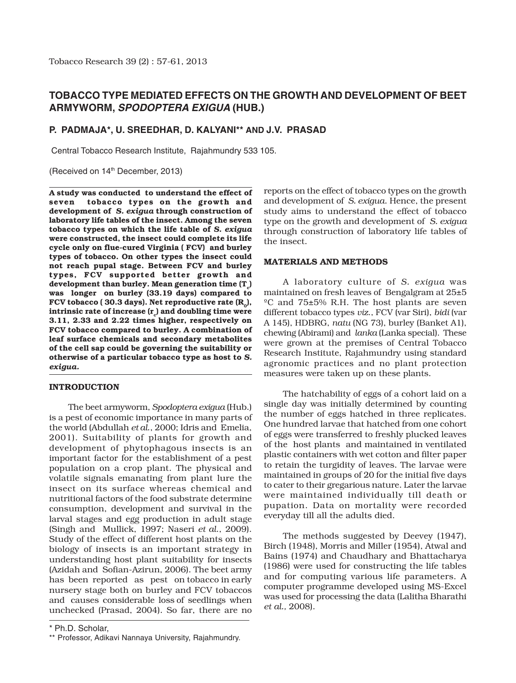# **TOBACCO TYPE MEDIATED EFFECTS ON THE GROWTH AND DEVELOPMENT OF BEET ARMYWORM, SPODOPTERA EXIGUA (HUB.)**

### **P. PADMAJA\*, U. SREEDHAR, D. KALYANI\*\* AND J.V. PRASAD**

Central Tobacco Research Institute, Rajahmundry 533 105.

(Received on 14<sup>th</sup> December, 2013)

**A study was conducted to understand the effect of seven tobacco types on the growth and development of** *S. exigua* **through construction of laboratory life tables of the insect. Among the seven tobacco types on which the life table of** *S. exigua* **were constructed, the insect could complete its life cycle only on flue-cured Virginia ( FCV) and burley types of tobacco. On other types the insect could not reach pupal stage. Between FCV and burley types, FCV supported better growth and** development than burley. Mean generation time  $(T<sub>c</sub>)$ **was longer on burley (33.19 days) compared to** FCV tobacco ( 30.3 days). Net reproductive rate  $(R_0)$ , intrinsic rate of increase  $(r_1)$  and doubling time were **3.11, 2.33 and 2.22 times higher, respectively on FCV tobacco compared to burley. A combination of leaf surface chemicals and secondary metabolites of the cell sap could be governing the suitability or otherwise of a particular tobacco type as host to** *S. exigua.*

#### **INTRODUCTION**

The beet armyworm, *Spodoptera exigua* (Hub.) is a pest of economic importance in many parts of the world (Abdullah *et al*., 2000; Idris and Emelia, 2001). Suitability of plants for growth and development of phytophagous insects is an important factor for the establishment of a pest population on a crop plant. The physical and volatile signals emanating from plant lure the insect on its surface whereas chemical and nutritional factors of the food substrate determine consumption, development and survival in the larval stages and egg production in adult stage (Singh and Mullick, 1997; Naseri *et al*., 2009). Study of the effect of different host plants on the biology of insects is an important strategy in understanding host plant suitability for insects (Azidah and Sofian-Azirun, 2006). The beet army has been reported as pest on tobacco in early nursery stage both on burley and FCV tobaccos and causes considerable loss of seedlings when unchecked (Prasad, 2004). So far, there are no

reports on the effect of tobacco types on the growth and development of *S. exigua*. Hence, the present study aims to understand the effect of tobacco type on the growth and development of *S. exigua* through construction of laboratory life tables of the insect.

#### **MATERIALS AND METHODS**

A laboratory culture of *S. exigua* was maintained on fresh leaves of Bengalgram at 25±5 ºC and 75±5% R.H. The host plants are seven different tobacco types *viz*., FCV (var Siri), *bidi* (var A 145), HDBRG, *natu* (NG 73), burley (Banket A1), chewing (Abirami) and *lanka* (Lanka special). These were grown at the premises of Central Tobacco Research Institute, Rajahmundry using standard agronomic practices and no plant protection measures were taken up on these plants.

The hatchability of eggs of a cohort laid on a single day was initially determined by counting the number of eggs hatched in three replicates. One hundred larvae that hatched from one cohort of eggs were transferred to freshly plucked leaves of the host plants and maintained in ventilated plastic containers with wet cotton and filter paper to retain the turgidity of leaves. The larvae were maintained in groups of 20 for the initial five days to cater to their gregarious nature. Later the larvae were maintained individually till death or pupation. Data on mortality were recorded everyday till all the adults died.

The methods suggested by Deevey (1947), Birch (1948), Morris and Miller (1954), Atwal and Bains (1974) and Chaudhary and Bhattacharya (1986) were used for constructing the life tables and for computing various life parameters. A computer programme developed using MS-Excel was used for processing the data (Lalitha Bharathi *et al.,* 2008).

<sup>\*</sup> Ph.D. Scholar,

<sup>\*\*</sup> Professor, Adikavi Nannaya University, Rajahmundry.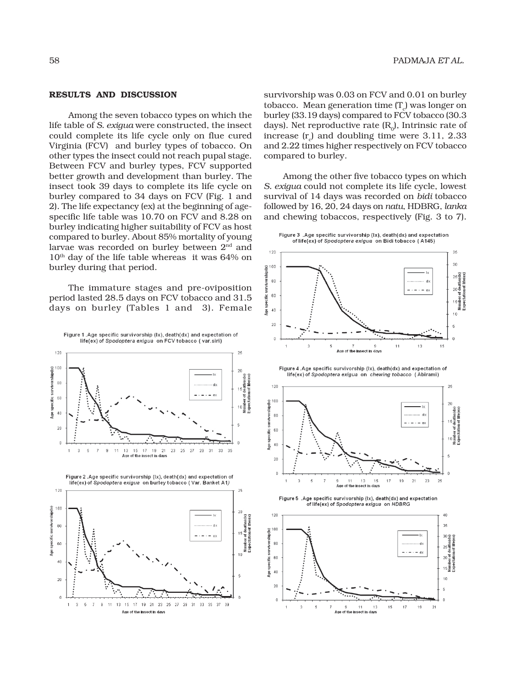#### **RESULTS AND DISCUSSION**

Among the seven tobacco types on which the life table of *S. exigua* were constructed, the insect could complete its life cycle only on flue cured Virginia (FCV) and burley types of tobacco. On other types the insect could not reach pupal stage. Between FCV and burley types, FCV supported better growth and development than burley. The insect took 39 days to complete its life cycle on burley compared to 34 days on FCV (Fig. 1 and 2). The life expectancy (ex) at the beginning of agespecific life table was 10.70 on FCV and 8.28 on burley indicating higher suitability of FCV as host compared to burley. About 85% mortality of young larvae was recorded on burley between 2nd and 10<sup>th</sup> day of the life table whereas it was 64% on burley during that period.

The immature stages and pre-oviposition period lasted 28.5 days on FCV tobacco and 31.5 days on burley (Tables 1 and 3). Female



survivorship was 0.03 on FCV and 0.01 on burley tobacco. Mean generation time (T $_{\rm c}$ ) was longer on burley (33.19 days) compared to FCV tobacco (30.3 days). Net reproductive rate  $(R_n)$ . Intrinsic rate of increase (r<sub>c</sub>) and doubling time were  $3.11, 2.33$ and 2.22 times higher respectively on FCV tobacco compared to burley.

Among the other five tobacco types on which *S. exigua* could not complete its life cycle, lowest survival of 14 days was recorded on *bidi* tobacco followed by 16, 20, 24 days on *natu*, HDBRG, *lanka* and chewing tobaccos, respectively (Fig. 3 to 7).



 $11$  $13$ 15  $17\,$  $19$  $21$ 

ect in days

Age of the in

 $20$ 

 $\theta$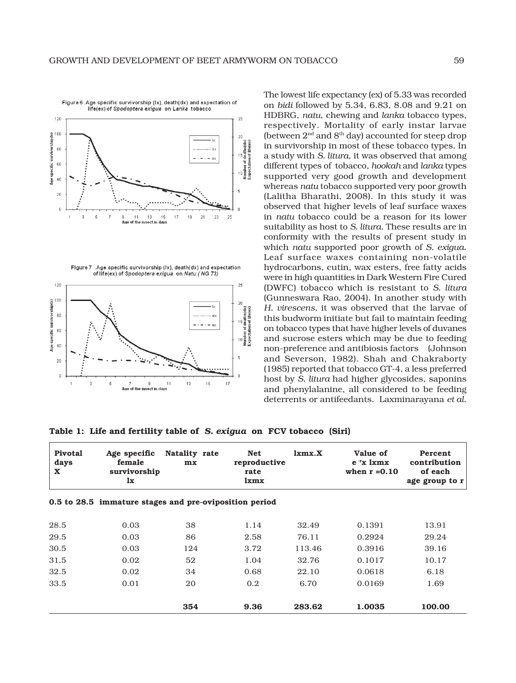

Figure 7 Age specific survivorship (lx) death(dx) and expectation of life(ex) of Spodoptera exigua on Natu (NG 73)



The lowest life expectancy (ex) of 5.33 was recorded on *bidi* followed by 5.34, 6.83, 8.08 and 9.21 on HDBRG, *natu*, chewing and *lanka* tobacco types, respectively. Mortality of early instar larvae (between  $2<sup>nd</sup>$  and  $8<sup>th</sup>$  day) accounted for steep drop in survivorship in most of these tobacco types. In a study with *S. litura*, it was observed that among different types of tobacco, *hookah* and *lanka* types supported very good growth and development whereas *natu* tobacco supported very poor growth (Lalitha Bharathi, 2008). In this study it was observed that higher levels of leaf surface waxes in *natu* tobacco could be a reason for its lower suitability as host to *S. litura.* These results are in conformity with the results of present study in which *natu* supported poor growth of *S. exigua.* Leaf surface waxes containing non-volatile hydrocarbons, cutin, wax esters, free fatty acids were in high quantities in Dark Western Fire Cured (DWFC) tobacco which is resistant to *S. litura* (Gunneswara Rao, 2004). In another study with *H. virescens,* it was observed that the larvae of this budworm initiate but fail to maintain feeding on tobacco types that have higher levels of duvanes and sucrose esters which may be due to feeding non-preference and antibiosis factors (Johnson and Severson, 1982). Shah and Chakraborty (1985) reported that tobacco GT-4, a less preferred host by *S. litura* had higher glycosides, saponins and phenylalanine, all considered to be feeding deterrents or antifeedants. Laxminarayana *et al*.

**Table 1: Life and fertility table of** *S. exigua* **on FCV tobacco (Siri)**

| <b>Pivotal</b><br>days<br>$\mathbf x$ | Age specific<br>female<br>survivorship<br>1x           | Natality rate<br>mx | <b>Net</b><br>reproductive<br>rate<br>lxmx | $1 \times m \times X$ | Value of<br>$e^{-r}x$ 1xmx<br>when $r = 0.10$ | Percent<br>contribution<br>of each<br>age group to r |
|---------------------------------------|--------------------------------------------------------|---------------------|--------------------------------------------|-----------------------|-----------------------------------------------|------------------------------------------------------|
|                                       | 0.5 to 28.5 immature stages and pre-oviposition period |                     |                                            |                       |                                               |                                                      |
| 28.5                                  | 0.03                                                   | 38                  | 1.14                                       | 32.49                 | 0.1391                                        | 13.91                                                |
| 29.5                                  | 0.03                                                   | 86                  | 2.58                                       | 76.11                 | 0.2924                                        | 29.24                                                |
| 30.5                                  | 0.03                                                   | 124                 | 3.72                                       | 113.46                | 0.3916                                        | 39.16                                                |
| 31.5                                  | 0.02                                                   | 52                  | 1.04                                       | 32.76                 | 0.1017                                        | 10.17                                                |
| 32.5                                  | 0.02                                                   | 34                  | 0.68                                       | 22.10                 | 0.0618                                        | 6.18                                                 |
| 33.5                                  | 0.01                                                   | 20                  | 0.2                                        | 6.70                  | 0.0169                                        | 1.69                                                 |
|                                       |                                                        | 354                 | 9.36                                       | 283.62                | 1.0035                                        | 100.00                                               |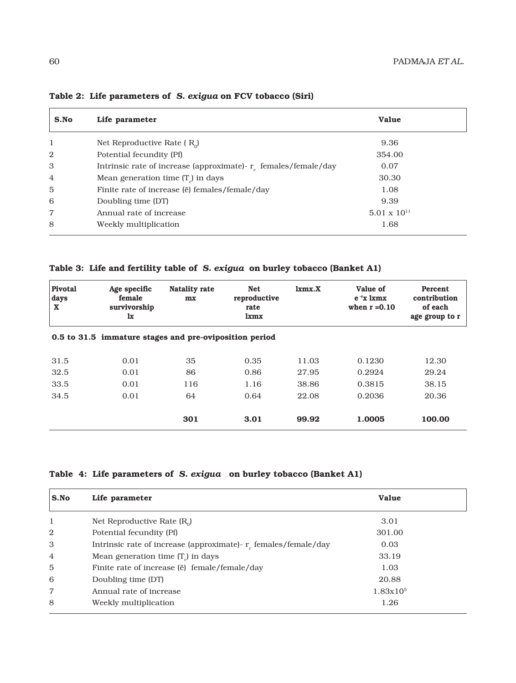| S.No           | Life parameter                                                     | <b>Value</b>          |  |
|----------------|--------------------------------------------------------------------|-----------------------|--|
| 1              | Net Reproductive Rate $(R_0)$                                      | 9.36                  |  |
| 2              | Potential fecundity (Pf)                                           | 354.00                |  |
| 3              | Intrinsic rate of increase (approximate)- $r_c$ females/female/day | 0.07                  |  |
| $\overline{4}$ | Mean generation time $(T_a)$ in days                               | 30.30                 |  |
| 5              | Finite rate of increase (ë) females/female/day                     | 1.08                  |  |
| 6              | Doubling time (DT)                                                 | 9.39                  |  |
| $\overline{7}$ | Annual rate of increase                                            | $5.01 \times 10^{11}$ |  |
| 8              | Weekly multiplication                                              | 1.68                  |  |

## **Table 2: Life parameters of** *S. exigua* **on FCV tobacco (Siri)**

**Table 3: Life and fertility table of** *S. exigua* **on burley tobacco (Banket A1)**

| <b>Pivotal</b><br>days<br>X | Age specific<br>female<br>survivorship<br>1x           | Natality rate<br>mx | <b>Net</b><br>reproductive<br>rate<br>lxmx | lmmx.X | Value of<br>$e^{-r}x$ 1xmx<br>when $r = 0.10$ | Percent<br>contribution<br>of each<br>age group to r |
|-----------------------------|--------------------------------------------------------|---------------------|--------------------------------------------|--------|-----------------------------------------------|------------------------------------------------------|
|                             | 0.5 to 31.5 immature stages and pre-oviposition period |                     |                                            |        |                                               |                                                      |
| 31.5                        | 0.01                                                   | 35                  | 0.35                                       | 11.03  | 0.1230                                        | 12.30                                                |
| 32.5                        | 0.01                                                   | 86                  | 0.86                                       | 27.95  | 0.2924                                        | 29.24                                                |
| 33.5                        | 0.01                                                   | 116                 | 1.16                                       | 38.86  | 0.3815                                        | 38.15                                                |
| 34.5                        | 0.01                                                   | 64                  | 0.64                                       | 22.08  | 0.2036                                        | 20.36                                                |
|                             |                                                        | 301                 | 3.01                                       | 99.92  | 1.0005                                        | 100.00                                               |

## **Table 4: Life parameters of** *S. exigua* **on burley tobacco (Banket A1)**

| S.No           | Life parameter                                                     | Value         |  |
|----------------|--------------------------------------------------------------------|---------------|--|
| 1              | Net Reproductive Rate $(R_0)$                                      | 3.01          |  |
| $\overline{2}$ | Potential fecundity (Pf)                                           | 301.00        |  |
| 3              | Intrinsic rate of increase (approximate)- $r_c$ females/female/day | 0.03          |  |
| $\overline{4}$ | Mean generation time $(Tc)$ in days                                | 33.19         |  |
| 5              | Finite rate of increase (ë) female/female/day                      | 1.03          |  |
| 6              | Doubling time (DT)                                                 | 20.88         |  |
| $\overline{7}$ | Annual rate of increase                                            | $1.83x10^{5}$ |  |
| 8              | Weekly multiplication                                              | 1.26          |  |